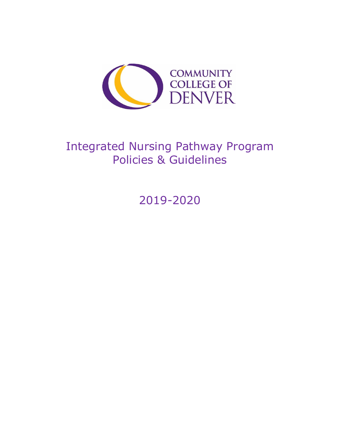

# Integrated Nursing Pathway Program Policies & Guidelines

2019-2020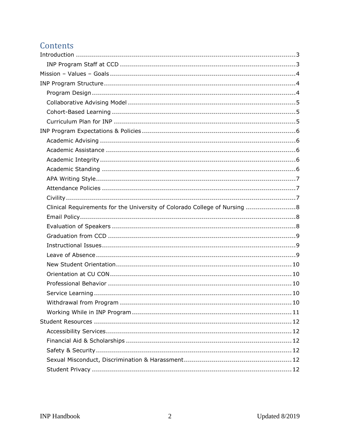# Contents

| Clinical Requirements for the University of Colorado College of Nursing  8 |
|----------------------------------------------------------------------------|
|                                                                            |
|                                                                            |
|                                                                            |
|                                                                            |
|                                                                            |
|                                                                            |
|                                                                            |
|                                                                            |
|                                                                            |
|                                                                            |
|                                                                            |
|                                                                            |
|                                                                            |
|                                                                            |
|                                                                            |
|                                                                            |
|                                                                            |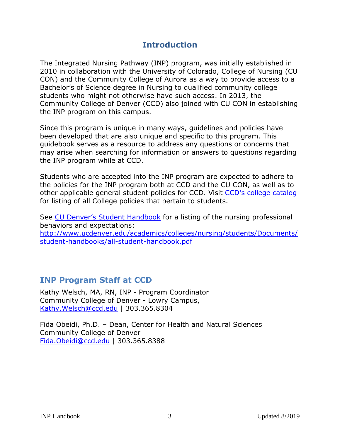### **Introduction**

<span id="page-2-0"></span>The Integrated Nursing Pathway (INP) program, was initially established in 2010 in collaboration with the University of Colorado, College of Nursing (CU CON) and the Community College of Aurora as a way to provide access to a Bachelor's of Science degree in Nursing to qualified community college students who might not otherwise have such access. In 2013, the Community College of Denver (CCD) also joined with CU CON in establishing the INP program on this campus.

Since this program is unique in many ways, guidelines and policies have been developed that are also unique and specific to this program. This guidebook serves as a resource to address any questions or concerns that may arise when searching for information or answers to questions regarding the INP program while at CCD.

Students who are accepted into the INP program are expected to adhere to the policies for the INP program both at CCD and the CU CON, as well as to other applicable general student policies for CCD. Visit [CCD's college catalog](http://www.ccd.edu/docs/ccd-catalog) for listing of all College policies that pertain to students.

See [CU Denver's Student Handbook](http://www.ucdenver.edu/academics/colleges/nursing/students/Documents/CONStudentHandbook%20%28Final%20rev%29%20%289%29.pdf) for a listing of the nursing professional behaviors and expectations: [http://www.ucdenver.edu/academics/colleges/nursing/students/Documents/](http://www.ucdenver.edu/academics/colleges/nursing/students/Documents/student-handbooks/all-student-handbook.pdf) [student-handbooks/all-student-handbook.pdf](http://www.ucdenver.edu/academics/colleges/nursing/students/Documents/student-handbooks/all-student-handbook.pdf)

### <span id="page-2-1"></span>**INP Program Staff at CCD**

Kathy Welsch, MA, RN, INP - Program Coordinator Community College of Denver - Lowry Campus, [Kathy.Welsch@ccd.edu](mailto:Kathy.Welsch@ccd.edu) | 303.365.8304

Fida Obeidi, Ph.D. – Dean, Center for Health and Natural Sciences Community College of Denver [Fida.Obeidi@ccd.edu](mailto:Fida.Obeidi@ccd.edu) | 303.365.8388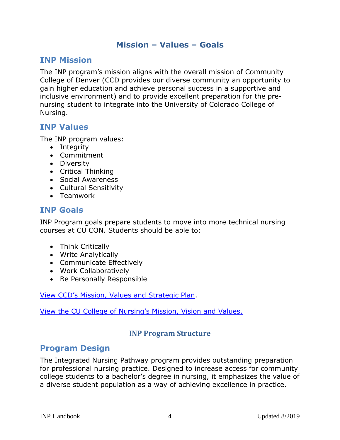#### **Mission – Values – Goals**

#### <span id="page-3-0"></span>**INP Mission**

The INP program's mission aligns with the overall mission of Community College of Denver (CCD provides our diverse community an opportunity to gain higher education and achieve personal success in a supportive and inclusive environment) and to provide excellent preparation for the prenursing student to integrate into the University of Colorado College of Nursing.

#### **INP Values**

The INP program values:

- Integrity
- Commitment
- Diversity
- Critical Thinking
- Social Awareness
- Cultural Sensitivity
- Teamwork

#### **INP Goals**

INP Program goals prepare students to move into more technical nursing courses at CU CON. Students should be able to:

- Think Critically
- Write Analytically
- Communicate Effectively
- Work Collaboratively
- Be Personally Responsible

#### View [CCD's Mission, Values and](https://www.ccd.edu/about-ccd/vision-mission-strategic-plan) Strategic Plan.

<span id="page-3-1"></span>V[iew the CU College of Nursing's Mission,](http://www.ucdenver/academics/colleges/nursing/about-us/Pages/Mission.aspx) Vision and Values.

#### **INP Program Structure**

#### <span id="page-3-2"></span>**Program Design**

The Integrated Nursing Pathway program provides outstanding preparation for professional nursing practice. Designed to increase access for community college students to a bachelor's degree in nursing, it emphasizes the value of a diverse student population as a way of achieving excellence in practice.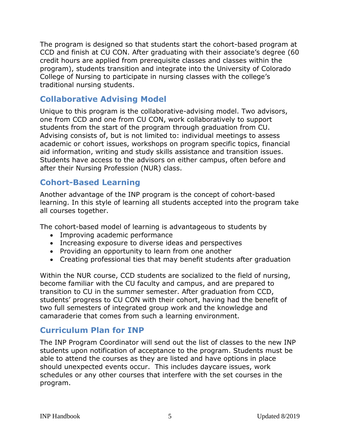The program is designed so that students start the cohort-based program at CCD and finish at CU CON. After graduating with their associate's degree (60 credit hours are applied from prerequisite classes and classes within the program), students transition and integrate into the University of Colorado College of Nursing to participate in nursing classes with the college's traditional nursing students.

### <span id="page-4-0"></span>**Collaborative Advising Model**

Unique to this program is the collaborative-advising model. Two advisors, one from CCD and one from CU CON, work collaboratively to support students from the start of the program through graduation from CU. Advising consists of, but is not limited to: individual meetings to assess academic or cohort issues, workshops on program specific topics, financial aid information, writing and study skills assistance and transition issues. Students have access to the advisors on either campus, often before and after their Nursing Profession (NUR) class.

### <span id="page-4-1"></span>**Cohort-Based Learning**

Another advantage of the INP program is the concept of cohort-based learning. In this style of learning all students accepted into the program take all courses together.

The cohort-based model of learning is advantageous to students by

- Improving academic performance
- Increasing exposure to diverse ideas and perspectives
- Providing an opportunity to learn from one another
- Creating professional ties that may benefit students after graduation

Within the NUR course, CCD students are socialized to the field of nursing, become familiar with the CU faculty and campus, and are prepared to transition to CU in the summer semester. After graduation from CCD, students' progress to CU CON with their cohort, having had the benefit of two full semesters of integrated group work and the knowledge and camaraderie that comes from such a learning environment.

#### <span id="page-4-2"></span>**Curriculum Plan for INP**

The INP Program Coordinator will send out the list of classes to the new INP students upon notification of acceptance to the program. Students must be able to attend the courses as they are listed and have options in place should unexpected events occur. This includes daycare issues, work schedules or any other courses that interfere with the set courses in the program.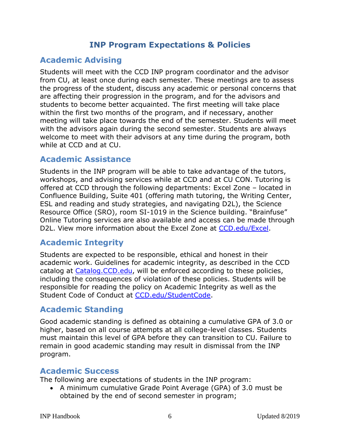### **INP Program Expectations & Policies**

### <span id="page-5-1"></span><span id="page-5-0"></span>**Academic Advising**

Students will meet with the CCD INP program coordinator and the advisor from CU, at least once during each semester. These meetings are to assess the progress of the student, discuss any academic or personal concerns that are affecting their progression in the program, and for the advisors and students to become better acquainted. The first meeting will take place within the first two months of the program, and if necessary, another meeting will take place towards the end of the semester. Students will meet with the advisors again during the second semester. Students are always welcome to meet with their advisors at any time during the program, both while at CCD and at CU.

### <span id="page-5-2"></span>**Academic Assistance**

Students in the INP program will be able to take advantage of the tutors, workshops, and advising services while at CCD and at CU CON. Tutoring is offered at CCD through the following departments: Excel Zone – located in Confluence Building, Suite 401 (offering math tutoring, the Writing Center, ESL and reading and study strategies, and navigating D2L), the Science Resource Office (SRO), room SI-1019 in the Science building. "Brainfuse" Online Tutoring services are also available and access can be made through D2L. View more information about the Excel Zone at [CCD.edu/Excel.](https://www.ccd.edu/org/excel-zone)

### <span id="page-5-3"></span>**Academic Integrity**

Students are expected to be responsible, ethical and honest in their academic work. Guidelines for academic integrity, as described in the CCD catalog at [Catalog.CCD.edu,](http://www.catalog.ccd.edu/) will be enforced according to these policies, including the consequences of violation of these policies. Students will be responsible for reading the policy on Academic Integrity as well as the Student Code of Conduct at [CCD.edu/StudentCode.](http://www.ccd.edu/administration/non-academic-departments/office-student-conduct/student-code-conduct)

### <span id="page-5-4"></span>**Academic Standing**

Good academic standing is defined as obtaining a cumulative GPA of 3.0 or higher, based on all course attempts at all college-level classes. Students must maintain this level of GPA before they can transition to CU. Failure to remain in good academic standing may result in dismissal from the INP program.

### **Academic Success**

The following are expectations of students in the INP program:

 A minimum cumulative Grade Point Average (GPA) of 3.0 must be obtained by the end of second semester in program;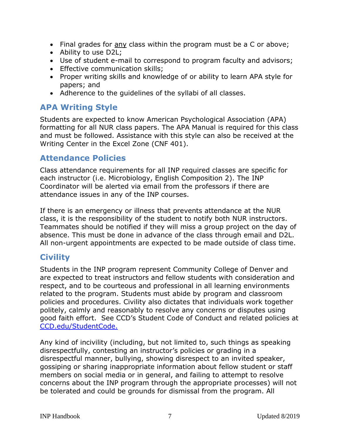- Final grades for any class within the program must be a C or above;
- Ability to use D2L;
- Use of student e-mail to correspond to program faculty and advisors;
- **Effective communication skills;**
- Proper writing skills and knowledge of or ability to learn APA style for papers; and
- Adherence to the guidelines of the syllabi of all classes.

### <span id="page-6-0"></span>**APA Writing Style**

Students are expected to know American Psychological Association (APA) formatting for all NUR class papers. The APA Manual is required for this class and must be followed. Assistance with this style can also be received at the Writing Center in the Excel Zone (CNF 401).

### <span id="page-6-1"></span>**Attendance Policies**

Class attendance requirements for all INP required classes are specific for each instructor (i.e. Microbiology, English Composition 2). The INP Coordinator will be alerted via email from the professors if there are attendance issues in any of the INP courses.

If there is an emergency or illness that prevents attendance at the NUR class, it is the responsibility of the student to notify both NUR instructors. Teammates should be notified if they will miss a group project on the day of absence. This must be done in advance of the class through email and D2L. All non-urgent appointments are expected to be made outside of class time.

# <span id="page-6-2"></span>**Civility**

Students in the INP program represent Community College of Denver and are expected to treat instructors and fellow students with consideration and respect, and to be courteous and professional in all learning environments related to the program. Students must abide by program and classroom policies and procedures. Civility also dictates that individuals work together politely, calmly and reasonably to resolve any concerns or disputes using good faith effort. See CCD's Student Code of Conduct and related policies at [CCD.edu/StudentCode.](http://www.ccd.edu/administration/non-academic-departments/office-student-conduct/student-code-conduct)

Any kind of incivility (including, but not limited to, such things as speaking disrespectfully, contesting an instructor's policies or grading in a disrespectful manner, bullying, showing disrespect to an invited speaker, gossiping or sharing inappropriate information about fellow student or staff members on social media or in general, and failing to attempt to resolve concerns about the INP program through the appropriate processes) will not be tolerated and could be grounds for dismissal from the program. All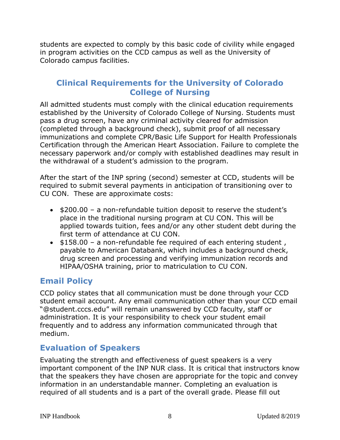students are expected to comply by this basic code of civility while engaged in program activities on the CCD campus as well as the University of Colorado campus facilities.

### <span id="page-7-0"></span>**Clinical Requirements for the University of Colorado College of Nursing**

All admitted students must comply with the clinical education requirements established by the University of Colorado College of Nursing. Students must pass a drug screen, have any criminal activity cleared for admission (completed through a background check), submit proof of all necessary immunizations and complete CPR/Basic Life Support for Health Professionals Certification through the American Heart Association. Failure to complete the necessary paperwork and/or comply with established deadlines may result in the withdrawal of a student's admission to the program.

After the start of the INP spring (second) semester at CCD, students will be required to submit several payments in anticipation of transitioning over to CU CON. These are approximate costs:

- $\bullet$  \$200.00 a non-refundable tuition deposit to reserve the student's place in the traditional nursing program at CU CON. This will be applied towards tuition, fees and/or any other student debt during the first term of attendance at CU CON.
- $\bullet$  \$158.00 a non-refundable fee required of each entering student, payable to American Databank, which includes a background check, drug screen and processing and verifying immunization records and HIPAA/OSHA training, prior to matriculation to CU CON.

### <span id="page-7-1"></span>**Email Policy**

CCD policy states that all communication must be done through your CCD student email account. Any email communication other than your CCD email "@student.cccs.edu" will remain unanswered by CCD faculty, staff or administration. It is your responsibility to check your student email frequently and to address any information communicated through that medium.

### <span id="page-7-2"></span>**Evaluation of Speakers**

Evaluating the strength and effectiveness of guest speakers is a very important component of the INP NUR class. It is critical that instructors know that the speakers they have chosen are appropriate for the topic and convey information in an understandable manner. Completing an evaluation is required of all students and is a part of the overall grade. Please fill out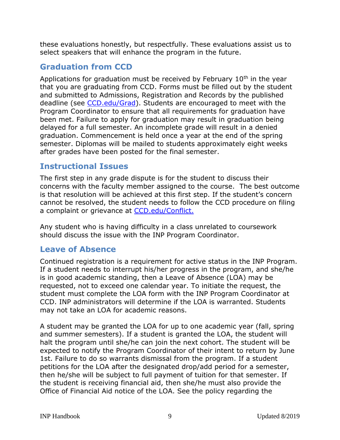these evaluations honestly, but respectfully. These evaluations assist us to select speakers that will enhance the program in the future.

### <span id="page-8-0"></span>**Graduation from CCD**

Applications for graduation must be received by February  $10<sup>th</sup>$  in the year that you are graduating from CCD. Forms must be filled out by the student and submitted to Admissions, Registration and Records by the published deadline (see [CCD.edu/G](http://www.ccd.edu/administration/non-academic-departments/admissions-registration-records/graduation-commencement)rad). Students are encouraged to meet with the Program Coordinator to ensure that all requirements for graduation have been met. Failure to apply for graduation may result in graduation being delayed for a full semester. An incomplete grade will result in a denied graduation. Commencement is held once a year at the end of the spring semester. Diplomas will be mailed to students approximately eight weeks after grades have been posted for the final semester.

### <span id="page-8-1"></span>**Instructional Issues**

The first step in any grade dispute is for the student to discuss their concerns with the faculty member assigned to the course. The best outcome is that resolution will be achieved at this first step. If the student's concern cannot be resolved, the student needs to follow the CCD procedure on filing a complaint or grievance at [CCD.edu/Conflict.](http://www.ccd.edu/administration/non-academic-departments/office-student-conduct/experiencing-conflict)

Any student who is having difficulty in a class unrelated to coursework should discuss the issue with the INP Program Coordinator.

### <span id="page-8-2"></span>**Leave of Absence**

Continued registration is a requirement for active status in the INP Program. If a student needs to interrupt his/her progress in the program, and she/he is in good academic standing, then a Leave of Absence (LOA) may be requested, not to exceed one calendar year. To initiate the request, the student must complete the LOA form with the INP Program Coordinator at CCD. INP administrators will determine if the LOA is warranted. Students may not take an LOA for academic reasons.

A student may be granted the LOA for up to one academic year (fall, spring and summer semesters). If a student is granted the LOA, the student will halt the program until she/he can join the next cohort. The student will be expected to notify the Program Coordinator of their intent to return by June 1st. Failure to do so warrants dismissal from the program. If a student petitions for the LOA after the designated drop/add period for a semester, then he/she will be subject to full payment of tuition for that semester. If the student is receiving financial aid, then she/he must also provide the Office of Financial Aid notice of the LOA. See the policy regarding the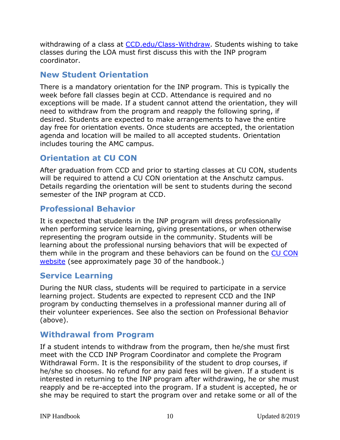withdrawing of a class at [CCD.edu/Class-Withdraw.](http://www.ccd.edu/docs/withdrawing-classes-brochure) Students wishing to take classes during the LOA must first discuss this with the INP program coordinator.

### <span id="page-9-0"></span>**New Student Orientation**

There is a mandatory orientation for the INP program. This is typically the week before fall classes begin at CCD. Attendance is required and no exceptions will be made. If a student cannot attend the orientation, they will need to withdraw from the program and reapply the following spring, if desired. Students are expected to make arrangements to have the entire day free for orientation events. Once students are accepted, the orientation agenda and location will be mailed to all accepted students. Orientation includes touring the AMC campus.

## <span id="page-9-1"></span>**Orientation at CU CON**

After graduation from CCD and prior to starting classes at CU CON, students will be required to attend a CU CON orientation at the Anschutz campus. Details regarding the orientation will be sent to students during the second semester of the INP program at CCD.

## <span id="page-9-2"></span>**Professional Behavior**

It is expected that students in the INP program will dress professionally when performing service learning, giving presentations, or when otherwise representing the program outside in the community. Students will be learning about the professional nursing behaviors that will be expected of them while in the program and these behaviors can be found on the [CU CON](http://www.ucdenver.edu/academics/colleges/nursing/students/Documents/CONStudentHandbook%20%28Final%20rev%29%20%289%29.pdf)  [website](http://www.ucdenver.edu/academics/colleges/nursing/students/Documents/CONStudentHandbook%20%28Final%20rev%29%20%289%29.pdf) (see approximately page 30 of the handbook.)

### <span id="page-9-3"></span>**Service Learning**

During the NUR class, students will be required to participate in a service learning project. Students are expected to represent CCD and the INP program by conducting themselves in a professional manner during all of their volunteer experiences. See also the section on Professional Behavior (above).

### <span id="page-9-4"></span>**Withdrawal from Program**

If a student intends to withdraw from the program, then he/she must first meet with the CCD INP Program Coordinator and complete the Program Withdrawal Form. It is the responsibility of the student to drop courses, if he/she so chooses. No refund for any paid fees will be given. If a student is interested in returning to the INP program after withdrawing, he or she must reapply and be re-accepted into the program. If a student is accepted, he or she may be required to start the program over and retake some or all of the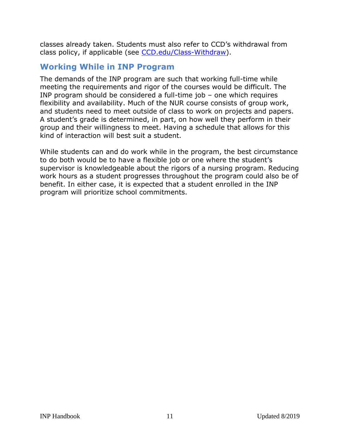classes already taken. Students must also refer to CCD's withdrawal from class policy, if applicable (see [CCD.edu/Class-Withdraw\)](http://www.ccd.edu/docs/withdrawing-classes-brochure).

### <span id="page-10-0"></span>**Working While in INP Program**

The demands of the INP program are such that working full-time while meeting the requirements and rigor of the courses would be difficult. The INP program should be considered a full-time job – one which requires flexibility and availability. Much of the NUR course consists of group work, and students need to meet outside of class to work on projects and papers. A student's grade is determined, in part, on how well they perform in their group and their willingness to meet. Having a schedule that allows for this kind of interaction will best suit a student.

While students can and do work while in the program, the best circumstance to do both would be to have a flexible job or one where the student's supervisor is knowledgeable about the rigors of a nursing program. Reducing work hours as a student progresses throughout the program could also be of benefit. In either case, it is expected that a student enrolled in the INP program will prioritize school commitments.